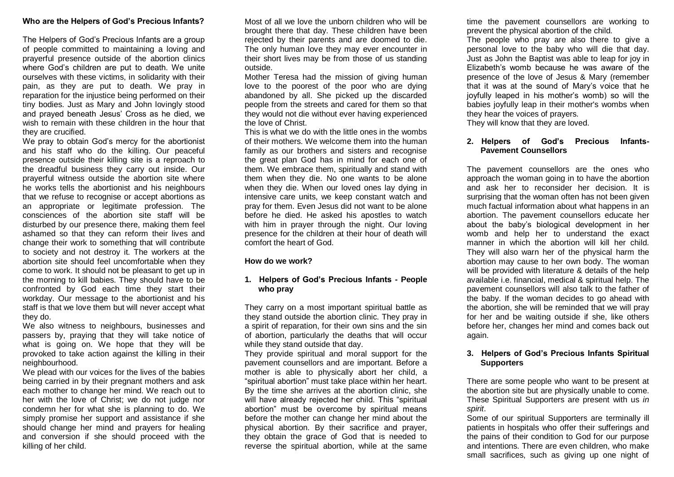#### **Who are the Helpers of God's Precious Infants?**

The Helpers of God's Precious Infants are a group of people committed to maintaining a loving and prayerful presence outside of the abortion clinics where God's children are put to death. We unite ourselves with these victims, in solidarity with their pain, as they are put to death. We pray in reparation for the injustice being performed on their tiny bodies. Just as Mary and John lovingly stood and prayed beneath Jesus' Cross as he died, we wish to remain with these children in the hour that they are crucified.

We pray to obtain God's mercy for the abortionist and his staff who do the killing. Our peaceful presence outside their killing site is a reproach to the dreadful business they carry out inside. Our prayerful witness outside the abortion site where he works tells the abortionist and his neighbours that we refuse to recognise or accept abortions as an appropriate or legitimate profession. The consciences of the abortion site staff will be disturbed by our presence there, making them feel ashamed so that they can reform their lives and change their work to something that will contribute to society and not destroy it. The workers at the abortion site should feel uncomfortable when they come to work. It should not be pleasant to get up in the morning to kill babies. They should have to be confronted by God each time they start their workday. Our message to the abortionist and his staff is that we love them but will never accept what they do.

We also witness to neighbours, businesses and passers by, praying that they will take notice of what is going on. We hope that they will be provoked to take action against the killing in their neighbourhood.

We plead with our voices for the lives of the babies being carried in by their pregnant mothers and ask each mother to change her mind. We reach out to her with the love of Christ; we do not judge nor condemn her for what she is planning to do. We simply promise her support and assistance if she should change her mind and prayers for healing and conversion if she should proceed with the killing of her child.

Most of all we love the unborn children who will be brought there that day. These children have been rejected by their parents and are doomed to die. The only human love they may ever encounter in their short lives may be from those of us standing outside.

Mother Teresa had the mission of giving human love to the poorest of the poor who are dying abandoned by all. She picked up the discarded people from the streets and cared for them so that they would not die without ever having experienced the love of Christ.

This is what we do with the little ones in the wombs of their mothers. We welcome them into the human family as our brothers and sisters and recognise the great plan God has in mind for each one of them. We embrace them, spiritually and stand with them when they die. No one wants to be alone when they die. When our loved ones lay dying in intensive care units, we keep constant watch and pray for them. Even Jesus did not want to be alone before he died. He asked his apostles to watch with him in prayer through the night. Our loving presence for the children at their hour of death will comfort the heart of God.

#### **How do we work?**

### **1. Helpers of God's Precious Infants - People who pray**

They carry on a most important spiritual battle as they stand outside the abortion clinic. They pray in a spirit of reparation, for their own sins and the sin of abortion, particularly the deaths that will occur while they stand outside that day.

They provide spiritual and moral support for the pavement counsellors and are important. Before a mother is able to physically abort her child, a "spiritual abortion" must take place within her heart. By the time she arrives at the abortion clinic, she will have already rejected her child. This "spiritual abortion" must be overcome by spiritual means before the mother can change her mind about the physical abortion. By their sacrifice and prayer, they obtain the grace of God that is needed to reverse the spiritual abortion, while at the same

time the pavement counsellors are working to prevent the physical abortion of the child. The people who pray are also there to give a personal love to the baby who will die that day. Just as John the Baptist was able to leap for joy in Elizabeth's womb because he was aware of the presence of the love of Jesus & Mary (remember that it was at the sound of Mary's voice that he joyfully leaped in his mother's womb) so will the babies joyfully leap in their mother's wombs when they hear the voices of prayers.

They will know that they are loved.

# **2. Helpers of God's Precious Infants-Pavement Counsellors**

The pavement counsellors are the ones who approach the woman going in to have the abortion and ask her to reconsider her decision. It is surprising that the woman often has not been given much factual information about what happens in an abortion. The pavement counsellors educate her about the baby's biological development in her womb and help her to understand the exact manner in which the abortion will kill her child. They will also warn her of the physical harm the abortion may cause to her own body. The woman will be provided with literature & details of the help available i.e. financial, medical & spiritual help. The pavement counsellors will also talk to the father of the baby. If the woman decides to go ahead with the abortion, she will be reminded that we will pray for her and be waiting outside if she, like others before her, changes her mind and comes back out again.

### **3. Helpers of God's Precious Infants Spiritual Supporters**

There are some people who want to be present at the abortion site but are physically unable to come. These Spiritual Supporters are present with us *in spirit*.

Some of our spiritual Supporters are terminally ill patients in hospitals who offer their sufferings and the pains of their condition to God for our purpose and intentions. There are even children, who make small sacrifices, such as giving up one night of